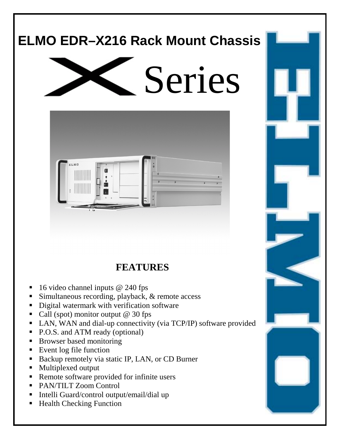# **ELMO EDR–X216 Rack Mount Chassis**





**FEATURES** 

- 16 video channel inputs @ 240 fps
- Simultaneous recording, playback, & remote access
- ! Digital watermark with verification software
- $\blacksquare$  Call (spot) monitor output @ 30 fps
- ! LAN, WAN and dial-up connectivity (via TCP/IP) software provided
- P.O.S. and ATM ready (optional)
- **EXECUTE:** Browser based monitoring
- Event log file function
- ! Backup remotely via static IP, LAN, or CD Burner
- ! Multiplexed output
- Remote software provided for infinite users
- ! PAN/TILT Zoom Control
- ! Intelli Guard/control output/email/dial up
- Health Checking Function